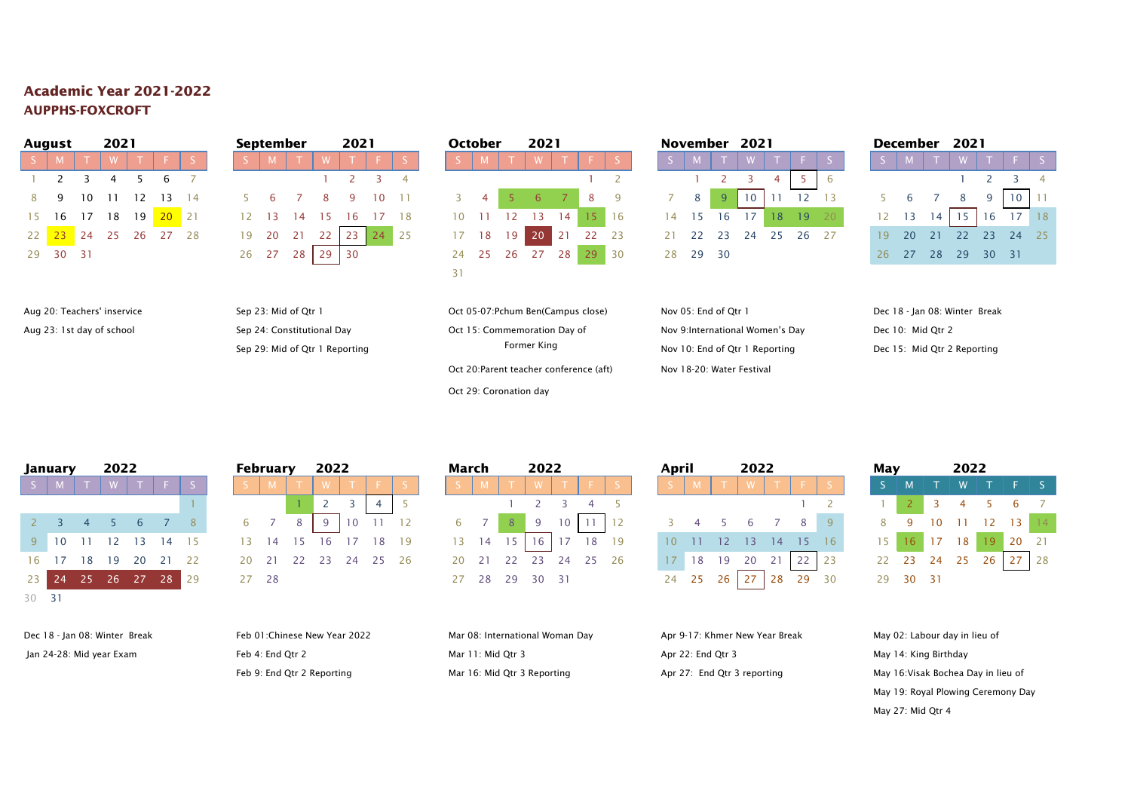## **Academic Year 2021-2022 AUPPHS-FOXCROFT**

|    | <b>August</b> |                 | 2021 |                |            |    |    | September |     |      | 2021 |          |  |    | <b>October</b> |                 | 2021           |    |          |           |     |    |             | November 2021 |    |     |  |    | December |          | 2021     |              |
|----|---------------|-----------------|------|----------------|------------|----|----|-----------|-----|------|------|----------|--|----|----------------|-----------------|----------------|----|----------|-----------|-----|----|-------------|---------------|----|-----|--|----|----------|----------|----------|--------------|
|    |               |                 | W.   |                |            |    |    |           |     | M    |      |          |  |    |                |                 | W              |    |          |           |     |    |             |               |    |     |  |    |          |          |          |              |
|    | $1 \quad 2$   |                 |      |                |            |    |    |           |     |      |      |          |  |    |                |                 |                |    |          |           |     |    |             |               |    |     |  |    |          |          |          |              |
| 89 |               | 10 <sup>1</sup> | -11  | 12             | 13         | 14 |    | 5 6       |     |      |      | 10       |  |    | $\sim$ 4       |                 |                |    |          | 8 9       |     | 8  | $9^{\circ}$ | 10            |    |     |  |    |          |          |          | $\mathbf{C}$ |
|    | 15 16 17      |                 |      | 18 19          | $20 \t 21$ |    |    | 12 13     | -14 |      | 16   |          |  | 10 |                |                 |                | 14 |          | $15 \t16$ | 14  |    | 16          |               |    | -19 |  |    |          |          |          |              |
|    |               |                 |      | 22 23 24 25 26 | 27         | 28 |    | 19 20     | 21  | -22  |      | 23 24 25 |  |    | 17 18          | 19 <sup>1</sup> | 20             |    | 21 22 23 |           |     | 22 | 23          | 24            | 25 | 26  |  | 19 | -20      |          | $22 \t2$ |              |
|    | 29 30 31      |                 |      |                |            |    | 26 | - 27      | 28  | 29 ' | 30   |          |  |    |                |                 | 24 25 26 27 28 |    | 29       |           | 28. |    | 29 30       |               |    |     |  |    |          | 26 27 28 | $29 - 3$ |              |

Aug 20: Teachers' inservice Sep 23: Mid of Qtr 1 Campus Cot 05-07:Pchum Ben(Campus close) Nov 05: End of Qtr 1 Dec 18 - Jan 08: Winter Break Aug 23: 1st day of school Sep 24: Constitutional Day Oct 15: Commemoration Day of Nov 9:International Women's Day Dec 10: Mid Qtr 2

|                         | uluwa          |          | LVŁ I                |                |    |              |
|-------------------------|----------------|----------|----------------------|----------------|----|--------------|
| S                       | M.             | T        | <b>W</b>             | $T -$          | F. |              |
|                         |                |          |                      |                |    | 2            |
| $\overline{\mathbf{3}}$ | $\overline{4}$ | $5 \t 6$ |                      | $\overline{7}$ | 8  | $\mathsf{Q}$ |
|                         |                |          | 10 11 12 13 14 15 16 |                |    |              |
|                         |                |          | 17 18 19 20 21 22    |                |    | 23           |
|                         |                |          | 24 25 26 27 28 29 30 |                |    |              |
| -31                     |                |          |                      |                |    |              |

Oct 20:Parent teacher conference (aft) Nov 18-20: Water Festival

| August   |                     | ZUZI                    |                                   |         |  | September |             | ZUZ I |                      |                             | October | ZUZI                 |    |             |  | NOVember 2021 |    |  |                      |  | December 2021 |                 |                 |          |          |  |
|----------|---------------------|-------------------------|-----------------------------------|---------|--|-----------|-------------|-------|----------------------|-----------------------------|---------|----------------------|----|-------------|--|---------------|----|--|----------------------|--|---------------|-----------------|-----------------|----------|----------|--|
| $S$   M  |                     | $\mathsf{I} \mathsf{W}$ |                                   |         |  |           |             |       |                      |                             |         |                      |    | I WITESI    |  |               |    |  |                      |  |               |                 |                 |          | W T F S  |  |
|          | $1 \quad 2 \quad 3$ |                         |                                   |         |  |           |             |       |                      |                             |         |                      |    |             |  |               |    |  |                      |  |               |                 |                 |          |          |  |
|          |                     |                         | 8 9 10 11 12 13 14                |         |  |           |             |       | 5 6 7 8 9 10 11      | $3 \quad 4 \quad 5 \quad 6$ |         |                      |    | 7 8 9 7 8 7 |  |               | -9 |  |                      |  | 6 7           |                 | 8               |          | $10$ 11  |  |
|          |                     | 15 16 17 18             | 19                                | $20$ 21 |  |           |             |       | 12 13 14 15 16 17 18 |                             | 10 11   | 12 13                | 14 |             |  | 14 15 16 17   |    |  | 18 19 20             |  | $12 \t 13$    |                 |                 |          | 16 17 18 |  |
|          |                     |                         | 22 <mark>23</mark> 24 25 26 27 28 |         |  |           | 19 20 21 22 |       | 23 24 25             |                             |         | 17 18 19 20 21 22 23 |    |             |  |               |    |  | 21 22 23 24 25 26 27 |  | 19 20         | $\overline{21}$ | $\overline{22}$ |          | 23 24 25 |  |
| 29 30 31 |                     |                         |                                   |         |  | 26 27 28  |             | 30    |                      |                             |         | 24 25 26 27 28       |    | 29 30       |  | 28 29 30      |    |  |                      |  | 26 27 28      |                 |                 | 29 30 31 |          |  |

|  |  | December 2021                 |                             |     |
|--|--|-------------------------------|-----------------------------|-----|
|  |  | S M T W T F                   |                             | l s |
|  |  |                               | $1 \quad 2 \quad 3 \quad 4$ |     |
|  |  | $5 \t6 \t7 \t8 \t9 \t10 \t11$ |                             |     |
|  |  | $12$ 13 14 15 16 17 18        |                             |     |
|  |  | 19 20 21 22 23 24 25          |                             |     |
|  |  | 26 27 28 29 30 31             |                             |     |

Sep 29: Mid of Qtr 1 Reporting The Reporting Former King Nov 10: End of Qtr 1 Reporting Dec 15: Mid Qtr 2 Reporting

**January 2022 February 2022 March 2022 April 2022 May 2022** 23 24 25 26 27 28 29 27 28 27 28 29 30 31 24 25 26 27 28 29 30 29 30 31 30 31

| lanuary                     | 2022 |     |                     |                 | February             |  | 2022                 |  |  | March |                | 2022                 |                 |    |    | April |               |      | 2022 |    |     | мау             |       |          |          | 2022 |        |              |     |
|-----------------------------|------|-----|---------------------|-----------------|----------------------|--|----------------------|--|--|-------|----------------|----------------------|-----------------|----|----|-------|---------------|------|------|----|-----|-----------------|-------|----------|----------|------|--------|--------------|-----|
|                             |      |     |                     |                 |                      |  |                      |  |  |       |                |                      |                 |    |    |       |               |      |      |    |     |                 |       |          |          |      |        |              | FS. |
|                             |      |     |                     |                 |                      |  |                      |  |  |       |                |                      |                 |    |    |       |               |      |      |    |     |                 |       |          |          |      |        |              |     |
| $2 \quad 3 \quad 4 \quad 5$ |      | 6   |                     |                 | 67                   |  |                      |  |  |       | 8 <sup>1</sup> | 9                    | 10 <sup>1</sup> |    |    |       | $3 \t 4 \t 5$ |      |      |    |     |                 |       |          | 10       |      | 12 13  |              |     |
|                             |      |     | 9 10 11 12 13 14 15 |                 |                      |  | 13 14 15 16 17 18 19 |  |  | 13 14 | 15             |                      | $16 \mid 17$    | 18 | 19 |       | 10 11 12      |      |      |    |     | 15 <sub>1</sub> |       |          | 16 17 18 |      | $19-1$ | 20 21        |     |
| 16 17 18                    | 19   | -20 | -21                 | $\overline{22}$ | 20 21 22 23 24 25 26 |  |                      |  |  |       |                | 20 21 22 23 24 25 26 |                 |    |    |       | 18            | - 19 | - 20 |    | -23 |                 | 22 23 | 24       |          | 25   | 26     | $27 \mid 28$ |     |
|                             |      |     | 23 24 25 26 27 28   |                 | 27 28                |  |                      |  |  |       |                | 27 28 29 30 31       |                 |    |    |       | 24 25         | -26. |      | 29 |     |                 |       | 29 30 31 |          |      |        |              |     |

| March |    |       | 2022                     |     |          |    |
|-------|----|-------|--------------------------|-----|----------|----|
|       | м  |       |                          |     |          |    |
|       |    |       | $\overline{\phantom{a}}$ | З   |          |    |
| 6     |    | 8     | 9                        | 10  | 11       | 12 |
| 13    | 14 | 15    | 16                       | 17  | 18       | 19 |
| 20    | 21 | 22 23 |                          |     | 24 25 26 |    |
| 77    | つえ | 20    | 3 O                      | -21 |          |    |

Oct 29: Coronation day

| April |    |                | 2022    |                |                 |    |
|-------|----|----------------|---------|----------------|-----------------|----|
|       | M  |                |         |                |                 |    |
|       |    |                |         |                |                 | 2  |
| 3     | 4  | $\overline{5}$ | 6       | $\overline{7}$ | 8               | q  |
| 10    | 11 | 12             | 13      | 14             | -15             | 16 |
| 17    | 18 | 19             | 20 21   |                | 22              | 23 |
| 24    | 25 | 26             | $27$ 28 |                | $\overline{29}$ | 30 |

| May             |    |                         | 2022           |         |                |                |
|-----------------|----|-------------------------|----------------|---------|----------------|----------------|
| S               | M  |                         | W              |         |                | S              |
|                 |    | $\overline{\mathbf{3}}$ | $\overline{4}$ | $-5$    | 6              | $\overline{7}$ |
| 8               |    | 10                      | $-11$          |         | 12 13 14       |                |
| 15 <sub>1</sub> | 16 |                         | 17 18          | $19$ 20 |                | 21             |
| 22              | 23 |                         |                |         | 24 25 26 27 28 |                |
| 29              | 30 | 31                      |                |         |                |                |

Dec 18 - Jan 08: Winter Break Feb 01:Chinese New Year 2022 Mar 08: International Woman Day Apr 9-17: Khmer New Year Break May 02: Labour day in lieu of Jan 24-28: Mid year Exam Feb 4: End Qtr 2 Mar 11: Mid Qtr 3 Apr 22: End Qtr 3 May 14: King Birthday May 14: King Birthday

| Mar 08: International Woman Day |
|---------------------------------|
| Mar 11: Mid Otr 3               |
| Mar 16: Mid Qtr 3 Reporting     |

Feb 9: End Qtr 2 Reporting Mar 16: Mid Qtr 3 Reporting Apr 27: End Qtr 3 reporting May 16: Visak Bochea Day in lieu of May 19: Royal Plowing Ceremony Day May 27: Mid Qtr 4